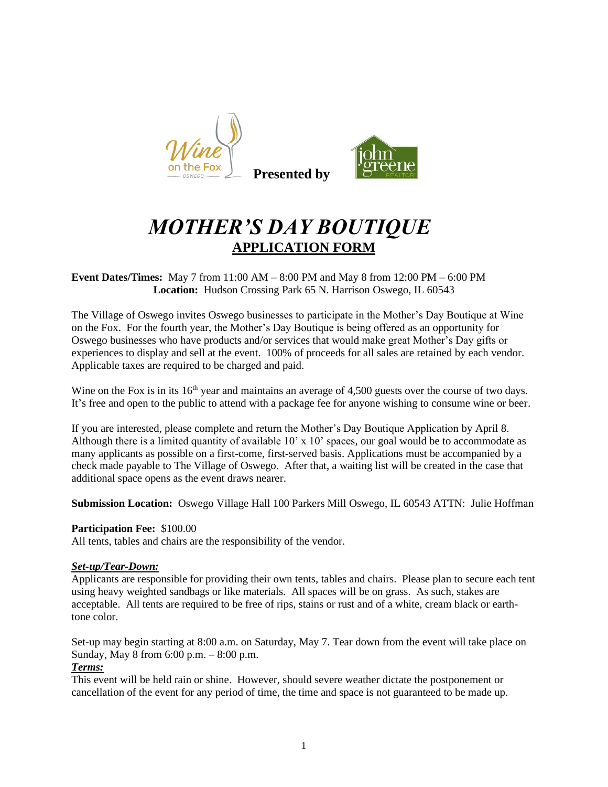



# *MOTHER'S DAY BOUTIQUE* **APPLICATION FORM**

**Event Dates/Times:** May 7 from 11:00 AM – 8:00 PM and May 8 from 12:00 PM – 6:00 PM **Location:** Hudson Crossing Park 65 N. Harrison Oswego, IL 60543

The Village of Oswego invites Oswego businesses to participate in the Mother's Day Boutique at Wine on the Fox. For the fourth year, the Mother's Day Boutique is being offered as an opportunity for Oswego businesses who have products and/or services that would make great Mother's Day gifts or experiences to display and sell at the event. 100% of proceeds for all sales are retained by each vendor. Applicable taxes are required to be charged and paid.

Wine on the Fox is in its  $16<sup>th</sup>$  year and maintains an average of 4,500 guests over the course of two days. It's free and open to the public to attend with a package fee for anyone wishing to consume wine or beer.

If you are interested, please complete and return the Mother's Day Boutique Application by April 8. Although there is a limited quantity of available 10' x 10' spaces, our goal would be to accommodate as many applicants as possible on a first-come, first-served basis. Applications must be accompanied by a check made payable to The Village of Oswego. After that, a waiting list will be created in the case that additional space opens as the event draws nearer.

**Submission Location:** Oswego Village Hall 100 Parkers Mill Oswego, IL 60543 ATTN: Julie Hoffman

### **Participation Fee:** \$100.00

All tents, tables and chairs are the responsibility of the vendor.

#### *Set-up/Tear-Down:*

Applicants are responsible for providing their own tents, tables and chairs. Please plan to secure each tent using heavy weighted sandbags or like materials. All spaces will be on grass. As such, stakes are acceptable. All tents are required to be free of rips, stains or rust and of a white, cream black or earthtone color.

Set-up may begin starting at 8:00 a.m. on Saturday, May 7. Tear down from the event will take place on Sunday, May 8 from 6:00 p.m. – 8:00 p.m.

#### *Terms:*

This event will be held rain or shine. However, should severe weather dictate the postponement or cancellation of the event for any period of time, the time and space is not guaranteed to be made up.